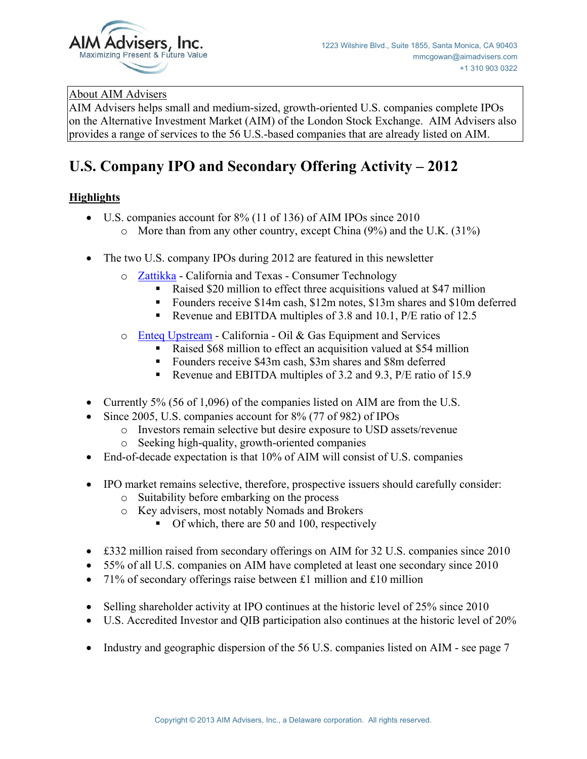

# About AIM Advisers

AIM Advisers helps small and medium-sized, growth-oriented U.S. companies complete IPOs on the Alternative Investment Market (AIM) of the London Stock Exchange. AIM Advisers also provides a range of services to the 56 U.S.-based companies that are already listed on AIM.

# **U.S. Company IPO and Secondary Offering Activity – 2012**

# **Highlights**

- $\bullet$  U.S. companies account for 8% (11 of 136) of AIM IPOs since 2010
	- o More than from any other country, except China (9%) and the U.K. (31%)
- The two U.S. company IPOs during 2012 are featured in this newsletter
	- o Zattikka California and Texas Consumer Technology
		- Raised \$20 million to effect three acquisitions valued at \$47 million
		- Founders receive \$14m cash, \$12m notes, \$13m shares and \$10m deferred
		- Revenue and EBITDA multiples of 3.8 and 10.1, P/E ratio of 12.5
	- o Enteq Upstream California Oil & Gas Equipment and Services
		- Raised \$68 million to effect an acquisition valued at \$54 million
		- Founders receive \$43m cash, \$3m shares and \$8m deferred
		- Revenue and EBITDA multiples of 3.2 and 9.3, P/E ratio of 15.9
- Currently 5% (56 of 1,096) of the companies listed on AIM are from the U.S.
- $\bullet$  Since 2005, U.S. companies account for 8% (77 of 982) of IPOs
	- o Investors remain selective but desire exposure to USD assets/revenue
	- o Seeking high-quality, growth-oriented companies
- $\bullet$  End-of-decade expectation is that 10% of AIM will consist of U.S. companies
- IPO market remains selective, therefore, prospective issuers should carefully consider:
	- o Suitability before embarking on the process
	- o Key advisers, most notably Nomads and Brokers
		- Of which, there are 50 and 100, respectively
- $\bullet$  £332 million raised from secondary offerings on AIM for 32 U.S. companies since 2010
- 55% of all U.S. companies on AIM have completed at least one secondary since 2010
- 71% of secondary offerings raise between £1 million and £10 million
- $\bullet$  Selling shareholder activity at IPO continues at the historic level of 25% since 2010
- U.S. Accredited Investor and QIB participation also continues at the historic level of 20%
- Industry and geographic dispersion of the 56 U.S. companies listed on AIM see page 7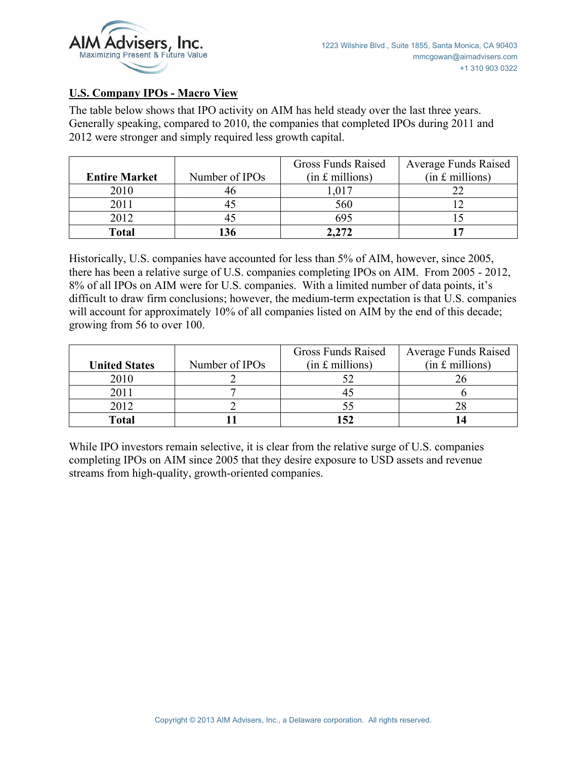

#### **U.S. Company IPOs - Macro View**

The table below shows that IPO activity on AIM has held steady over the last three years. Generally speaking, compared to 2010, the companies that completed IPOs during 2011 and 2012 were stronger and simply required less growth capital.

|                      |                | <b>Gross Funds Raised</b> | <b>Average Funds Raised</b> |
|----------------------|----------------|---------------------------|-----------------------------|
| <b>Entire Market</b> | Number of IPOs | $(in £$ millions)         | $(in f.$ millions)          |
| 2010                 |                | .017                      |                             |
| 2011                 |                | 560                       |                             |
| 2012                 |                | 695                       |                             |
| <b>Total</b>         |                | 2,272                     |                             |

Historically, U.S. companies have accounted for less than 5% of AIM, however, since 2005, there has been a relative surge of U.S. companies completing IPOs on AIM. From 2005 - 2012, 8% of all IPOs on AIM were for U.S. companies. With a limited number of data points, it's difficult to draw firm conclusions; however, the medium-term expectation is that U.S. companies will account for approximately 10% of all companies listed on AIM by the end of this decade; growing from 56 to over 100.

|                      |                            | <b>Gross Funds Raised</b> | <b>Average Funds Raised</b> |
|----------------------|----------------------------|---------------------------|-----------------------------|
| <b>United States</b> | Number of IPO <sub>s</sub> | $(in £$ millions)         | $(in f.$ millions)          |
| 2010                 |                            | 52                        |                             |
| 2011                 |                            |                           |                             |
| 2012                 |                            | 55                        |                             |
| <b>Total</b>         |                            | 152                       |                             |

While IPO investors remain selective, it is clear from the relative surge of U.S. companies completing IPOs on AIM since 2005 that they desire exposure to USD assets and revenue streams from high-quality, growth-oriented companies.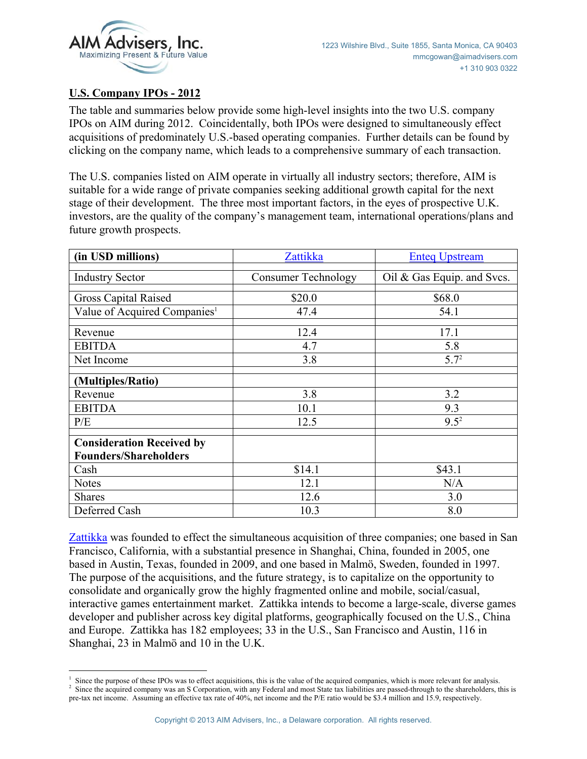

# **U.S. Company IPOs - 2012**

The table and summaries below provide some high-level insights into the two U.S. company IPOs on AIM during 2012. Coincidentally, both IPOs were designed to simultaneously effect acquisitions of predominately U.S.-based operating companies. Further details can be found by clicking on the company name, which leads to a comprehensive summary of each transaction.

The U.S. companies listed on AIM operate in virtually all industry sectors; therefore, AIM is suitable for a wide range of private companies seeking additional growth capital for the next stage of their development. The three most important factors, in the eyes of prospective U.K. investors, are the quality of the company's management team, international operations/plans and future growth prospects.

| (in USD millions)                                                | Zattikka                   | <b>Enteq Upstream</b>      |
|------------------------------------------------------------------|----------------------------|----------------------------|
| <b>Industry Sector</b>                                           | <b>Consumer Technology</b> | Oil & Gas Equip. and Svcs. |
| <b>Gross Capital Raised</b>                                      | \$20.0                     | \$68.0                     |
| Value of Acquired Companies <sup>1</sup>                         | 47.4                       | 54.1                       |
| Revenue                                                          | 12.4                       | 17.1                       |
| <b>EBITDA</b>                                                    | 4.7                        | 5.8                        |
| Net Income                                                       | 3.8                        | 5.7 <sup>2</sup>           |
| (Multiples/Ratio)                                                |                            |                            |
| Revenue                                                          | 3.8                        | 3.2                        |
| <b>EBITDA</b>                                                    | 10.1                       | 9.3                        |
| P/E                                                              | 12.5                       | $9.5^2$                    |
| <b>Consideration Received by</b><br><b>Founders/Shareholders</b> |                            |                            |
| Cash                                                             | \$14.1                     | \$43.1                     |
| <b>Notes</b>                                                     | 12.1                       | N/A                        |
| <b>Shares</b>                                                    | 12.6                       | 3.0                        |
| Deferred Cash                                                    | 10.3                       | 8.0                        |

Zattikka was founded to effect the simultaneous acquisition of three companies; one based in San Francisco, California, with a substantial presence in Shanghai, China, founded in 2005, one based in Austin, Texas, founded in 2009, and one based in Malmö, Sweden, founded in 1997. The purpose of the acquisitions, and the future strategy, is to capitalize on the opportunity to consolidate and organically grow the highly fragmented online and mobile, social/casual, interactive games entertainment market. Zattikka intends to become a large-scale, diverse games developer and publisher across key digital platforms, geographically focused on the U.S., China and Europe. Zattikka has 182 employees; 33 in the U.S., San Francisco and Austin, 116 in Shanghai, 23 in Malmö and 10 in the U.K.

 $\overline{a}$ <sup>1</sup> Since the purpose of these IPOs was to effect acquisitions, this is the value of the acquired companies, which is more relevant for analysis. <sup>2</sup> Since the acquired companies are not provided to the characteristics ar

<sup>&</sup>lt;sup>2</sup> Since the acquired company was an S Corporation, with any Federal and most State tax liabilities are passed-through to the shareholders, this is pre-tax net income. Assuming an effective tax rate of 40%, net income and the P/E ratio would be \$3.4 million and 15.9, respectively.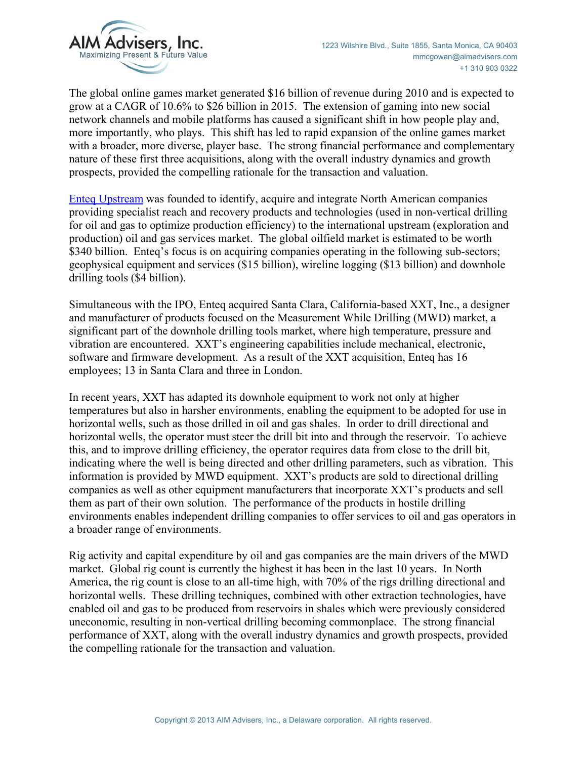

The global online games market generated \$16 billion of revenue during 2010 and is expected to grow at a CAGR of 10.6% to \$26 billion in 2015. The extension of gaming into new social network channels and mobile platforms has caused a significant shift in how people play and, more importantly, who plays. This shift has led to rapid expansion of the online games market with a broader, more diverse, player base. The strong financial performance and complementary nature of these first three acquisitions, along with the overall industry dynamics and growth prospects, provided the compelling rationale for the transaction and valuation.

Enteq Upstream was founded to identify, acquire and integrate North American companies providing specialist reach and recovery products and technologies (used in non-vertical drilling for oil and gas to optimize production efficiency) to the international upstream (exploration and production) oil and gas services market. The global oilfield market is estimated to be worth \$340 billion. Enteq's focus is on acquiring companies operating in the following sub-sectors; geophysical equipment and services (\$15 billion), wireline logging (\$13 billion) and downhole drilling tools (\$4 billion).

Simultaneous with the IPO, Enteq acquired Santa Clara, California-based XXT, Inc., a designer and manufacturer of products focused on the Measurement While Drilling (MWD) market, a significant part of the downhole drilling tools market, where high temperature, pressure and vibration are encountered. XXT's engineering capabilities include mechanical, electronic, software and firmware development. As a result of the XXT acquisition, Enteq has 16 employees; 13 in Santa Clara and three in London.

In recent years, XXT has adapted its downhole equipment to work not only at higher temperatures but also in harsher environments, enabling the equipment to be adopted for use in horizontal wells, such as those drilled in oil and gas shales. In order to drill directional and horizontal wells, the operator must steer the drill bit into and through the reservoir. To achieve this, and to improve drilling efficiency, the operator requires data from close to the drill bit, indicating where the well is being directed and other drilling parameters, such as vibration. This information is provided by MWD equipment. XXT's products are sold to directional drilling companies as well as other equipment manufacturers that incorporate XXT's products and sell them as part of their own solution. The performance of the products in hostile drilling environments enables independent drilling companies to offer services to oil and gas operators in a broader range of environments.

Rig activity and capital expenditure by oil and gas companies are the main drivers of the MWD market. Global rig count is currently the highest it has been in the last 10 years. In North America, the rig count is close to an all-time high, with 70% of the rigs drilling directional and horizontal wells. These drilling techniques, combined with other extraction technologies, have enabled oil and gas to be produced from reservoirs in shales which were previously considered uneconomic, resulting in non-vertical drilling becoming commonplace. The strong financial performance of XXT, along with the overall industry dynamics and growth prospects, provided the compelling rationale for the transaction and valuation.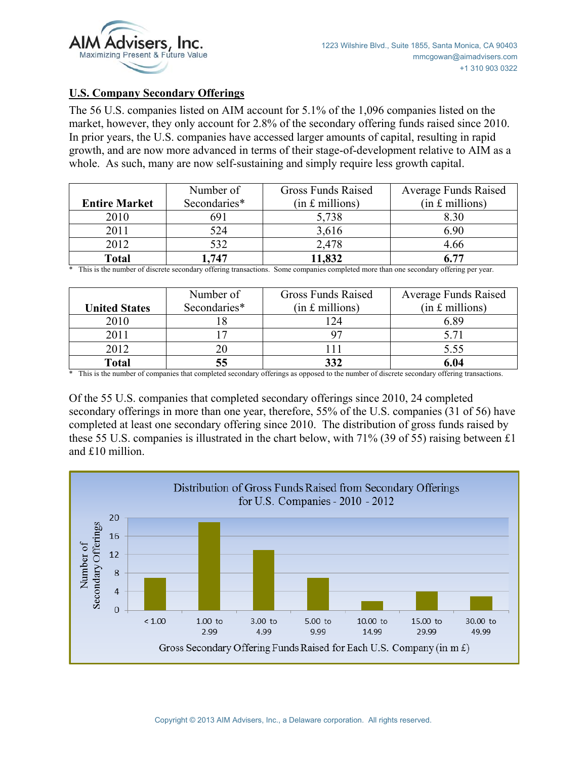

#### **U.S. Company Secondary Offerings**

The 56 U.S. companies listed on AIM account for 5.1% of the 1,096 companies listed on the market, however, they only account for 2.8% of the secondary offering funds raised since 2010. In prior years, the U.S. companies have accessed larger amounts of capital, resulting in rapid growth, and are now more advanced in terms of their stage-of-development relative to AIM as a whole. As such, many are now self-sustaining and simply require less growth capital.

|                      | Number of    | <b>Gross Funds Raised</b> | <b>Average Funds Raised</b> |
|----------------------|--------------|---------------------------|-----------------------------|
| <b>Entire Market</b> | Secondaries* | $(in £$ millions)         | $(in f.$ millions)          |
| 2010                 | 691          | 5,738                     | 8.30                        |
| 2011                 | 524          | 3,616                     | 6.90                        |
| 2012                 | 532          | 2,478                     | 4.66                        |
| <b>Total</b>         | 747          | 1,832                     | 6 77                        |

\* This is the number of discrete secondary offering transactions. Some companies completed more than one secondary offering per year.

|                      | Number of    | Gross Funds Raised | <b>Average Funds Raised</b> |
|----------------------|--------------|--------------------|-----------------------------|
| <b>United States</b> | Secondaries* | $(in £$ millions)  | $(in f.$ millions)          |
| 2010                 |              | 24                 | 6.89                        |
| 2011                 |              |                    | 5 71                        |
| 2012                 |              |                    | 5.55                        |
| Total                |              | 332                | 6.04                        |

\* This is the number of companies that completed secondary offerings as opposed to the number of discrete secondary offering transactions.

Of the 55 U.S. companies that completed secondary offerings since 2010, 24 completed secondary offerings in more than one year, therefore, 55% of the U.S. companies (31 of 56) have completed at least one secondary offering since 2010. The distribution of gross funds raised by these 55 U.S. companies is illustrated in the chart below, with 71% (39 of 55) raising between £1 and £10 million.

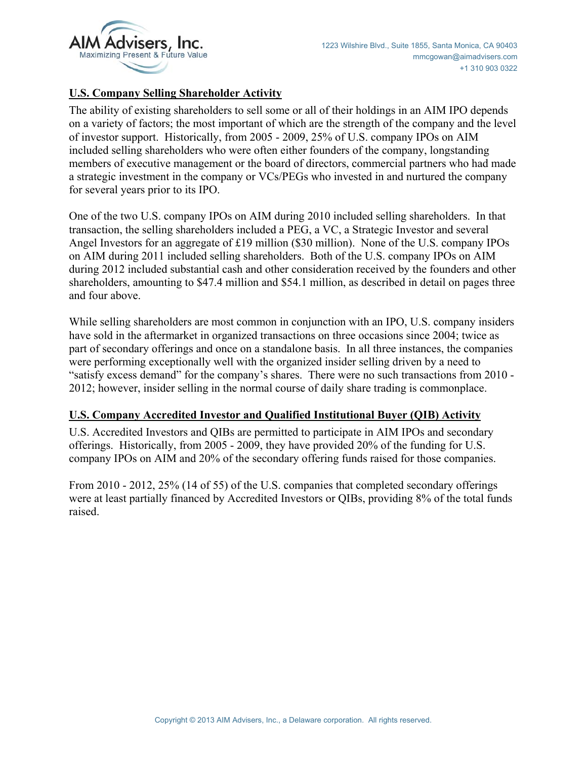

#### **U.S. Company Selling Shareholder Activity**

The ability of existing shareholders to sell some or all of their holdings in an AIM IPO depends on a variety of factors; the most important of which are the strength of the company and the level of investor support. Historically, from 2005 - 2009, 25% of U.S. company IPOs on AIM included selling shareholders who were often either founders of the company, longstanding members of executive management or the board of directors, commercial partners who had made a strategic investment in the company or VCs/PEGs who invested in and nurtured the company for several years prior to its IPO.

One of the two U.S. company IPOs on AIM during 2010 included selling shareholders. In that transaction, the selling shareholders included a PEG, a VC, a Strategic Investor and several Angel Investors for an aggregate of £19 million (\$30 million). None of the U.S. company IPOs on AIM during 2011 included selling shareholders. Both of the U.S. company IPOs on AIM during 2012 included substantial cash and other consideration received by the founders and other shareholders, amounting to \$47.4 million and \$54.1 million, as described in detail on pages three and four above.

While selling shareholders are most common in conjunction with an IPO, U.S. company insiders have sold in the aftermarket in organized transactions on three occasions since 2004; twice as part of secondary offerings and once on a standalone basis. In all three instances, the companies were performing exceptionally well with the organized insider selling driven by a need to "satisfy excess demand" for the company's shares. There were no such transactions from 2010 - 2012; however, insider selling in the normal course of daily share trading is commonplace.

### **U.S. Company Accredited Investor and Qualified Institutional Buyer (QIB) Activity**

U.S. Accredited Investors and QIBs are permitted to participate in AIM IPOs and secondary offerings. Historically, from 2005 - 2009, they have provided 20% of the funding for U.S. company IPOs on AIM and 20% of the secondary offering funds raised for those companies.

From 2010 - 2012, 25% (14 of 55) of the U.S. companies that completed secondary offerings were at least partially financed by Accredited Investors or QIBs, providing 8% of the total funds raised.